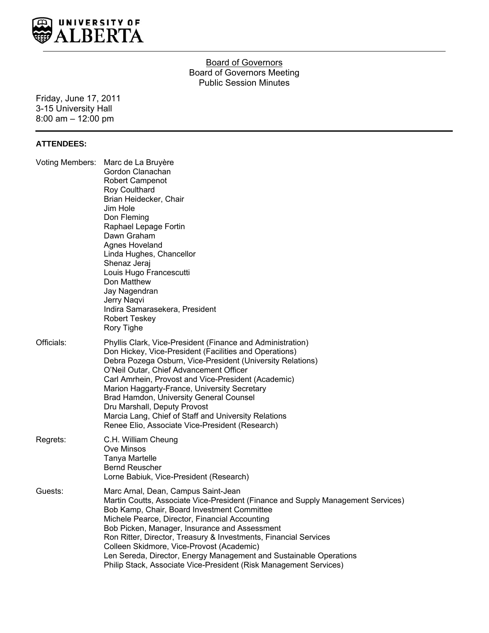

## **Board of Governors** Board of Governors Meeting Public Session Minutes

Friday, June 17, 2011 3-15 University Hall 8:00 am – 12:00 pm

#### **ATTENDEES:**

|            | Voting Members: Marc de La Bruyère<br>Gordon Clanachan<br>Robert Campenot<br>Roy Coulthard<br>Brian Heidecker, Chair<br>Jim Hole<br>Don Fleming<br>Raphael Lepage Fortin<br>Dawn Graham<br>Agnes Hoveland<br>Linda Hughes, Chancellor<br>Shenaz Jeraj<br>Louis Hugo Francescutti<br>Don Matthew<br>Jay Nagendran<br>Jerry Naqvi<br>Indira Samarasekera, President<br><b>Robert Teskey</b><br>Rory Tighe                                                                                                                               |
|------------|---------------------------------------------------------------------------------------------------------------------------------------------------------------------------------------------------------------------------------------------------------------------------------------------------------------------------------------------------------------------------------------------------------------------------------------------------------------------------------------------------------------------------------------|
| Officials: | Phyllis Clark, Vice-President (Finance and Administration)<br>Don Hickey, Vice-President (Facilities and Operations)<br>Debra Pozega Osburn, Vice-President (University Relations)<br>O'Neil Outar, Chief Advancement Officer<br>Carl Amrhein, Provost and Vice-President (Academic)<br>Marion Haggarty-France, University Secretary<br>Brad Hamdon, University General Counsel<br>Dru Marshall, Deputy Provost<br>Marcia Lang, Chief of Staff and University Relations<br>Renee Elio, Associate Vice-President (Research)            |
| Regrets:   | C.H. William Cheung<br>Ove Minsos<br><b>Tanya Martelle</b><br><b>Bernd Reuscher</b><br>Lorne Babiuk, Vice-President (Research)                                                                                                                                                                                                                                                                                                                                                                                                        |
| Guests:    | Marc Arnal, Dean, Campus Saint-Jean<br>Martin Coutts, Associate Vice-President (Finance and Supply Management Services)<br>Bob Kamp, Chair, Board Investment Committee<br>Michele Pearce, Director, Financial Accounting<br>Bob Picken, Manager, Insurance and Assessment<br>Ron Ritter, Director, Treasury & Investments, Financial Services<br>Colleen Skidmore, Vice-Provost (Academic)<br>Len Sereda, Director, Energy Management and Sustainable Operations<br>Philip Stack, Associate Vice-President (Risk Management Services) |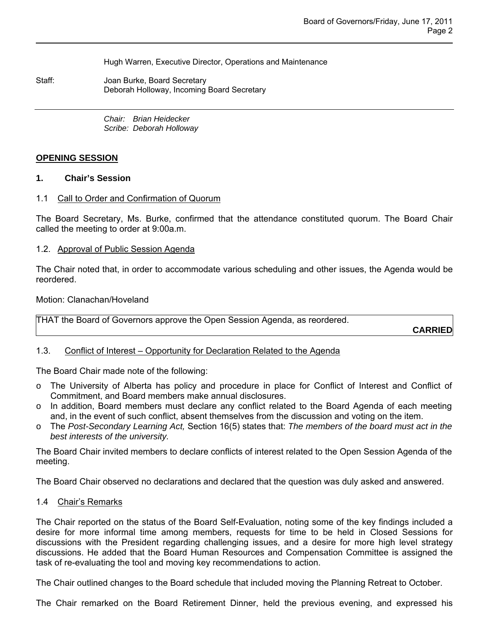Hugh Warren, Executive Director, Operations and Maintenance

Staff: Joan Burke, Board Secretary Deborah Holloway, Incoming Board Secretary

> *Chair: Brian Heidecker Scribe: Deborah Holloway*

#### **OPENING SESSION**

#### **1. Chair's Session**

#### 1.1 Call to Order and Confirmation of Quorum

The Board Secretary, Ms. Burke, confirmed that the attendance constituted quorum. The Board Chair called the meeting to order at 9:00a.m.

#### 1.2. Approval of Public Session Agenda

The Chair noted that, in order to accommodate various scheduling and other issues, the Agenda would be reordered.

#### Motion: Clanachan/Hoveland

THAT the Board of Governors approve the Open Session Agenda, as reordered.

**CARRIED**

### 1.3. Conflict of Interest – Opportunity for Declaration Related to the Agenda

The Board Chair made note of the following:

- o The University of Alberta has policy and procedure in place for Conflict of Interest and Conflict of Commitment, and Board members make annual disclosures.
- o In addition, Board members must declare any conflict related to the Board Agenda of each meeting and, in the event of such conflict, absent themselves from the discussion and voting on the item.
- o The *Post-Secondary Learning Act,* Section 16(5) states that: *The members of the board must act in the best interests of the university.*

The Board Chair invited members to declare conflicts of interest related to the Open Session Agenda of the meeting.

The Board Chair observed no declarations and declared that the question was duly asked and answered.

#### 1.4 Chair's Remarks

The Chair reported on the status of the Board Self-Evaluation, noting some of the key findings included a desire for more informal time among members, requests for time to be held in Closed Sessions for discussions with the President regarding challenging issues, and a desire for more high level strategy discussions. He added that the Board Human Resources and Compensation Committee is assigned the task of re-evaluating the tool and moving key recommendations to action.

The Chair outlined changes to the Board schedule that included moving the Planning Retreat to October.

The Chair remarked on the Board Retirement Dinner, held the previous evening, and expressed his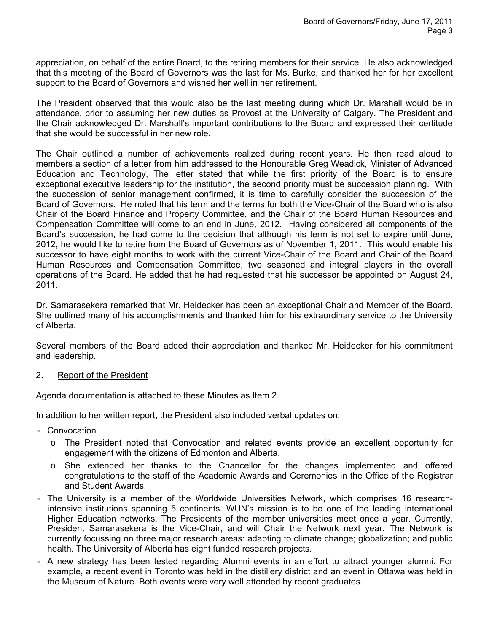appreciation, on behalf of the entire Board, to the retiring members for their service. He also acknowledged that this meeting of the Board of Governors was the last for Ms. Burke, and thanked her for her excellent support to the Board of Governors and wished her well in her retirement.

The President observed that this would also be the last meeting during which Dr. Marshall would be in attendance, prior to assuming her new duties as Provost at the University of Calgary. The President and the Chair acknowledged Dr. Marshall's important contributions to the Board and expressed their certitude that she would be successful in her new role.

The Chair outlined a number of achievements realized during recent years. He then read aloud to members a section of a letter from him addressed to the Honourable Greg Weadick, Minister of Advanced Education and Technology, The letter stated that while the first priority of the Board is to ensure exceptional executive leadership for the institution, the second priority must be succession planning. With the succession of senior management confirmed, it is time to carefully consider the succession of the Board of Governors. He noted that his term and the terms for both the Vice-Chair of the Board who is also Chair of the Board Finance and Property Committee, and the Chair of the Board Human Resources and Compensation Committee will come to an end in June, 2012. Having considered all components of the Board's succession, he had come to the decision that although his term is not set to expire until June, 2012, he would like to retire from the Board of Governors as of November 1, 2011. This would enable his successor to have eight months to work with the current Vice-Chair of the Board and Chair of the Board Human Resources and Compensation Committee, two seasoned and integral players in the overall operations of the Board. He added that he had requested that his successor be appointed on August 24, 2011.

Dr. Samarasekera remarked that Mr. Heidecker has been an exceptional Chair and Member of the Board. She outlined many of his accomplishments and thanked him for his extraordinary service to the University of Alberta.

Several members of the Board added their appreciation and thanked Mr. Heidecker for his commitment and leadership.

### 2. Report of the President

Agenda documentation is attached to these Minutes as Item 2.

In addition to her written report, the President also included verbal updates on:

- Convocation
	- $\circ$  The President noted that Convocation and related events provide an excellent opportunity for engagement with the citizens of Edmonton and Alberta.
	- o She extended her thanks to the Chancellor for the changes implemented and offered congratulations to the staff of the Academic Awards and Ceremonies in the Office of the Registrar and Student Awards.
- The University is a member of the Worldwide Universities Network, which comprises 16 researchintensive institutions spanning 5 continents. WUN's mission is to be one of the leading international Higher Education networks. The Presidents of the member universities meet once a year. Currently, President Samarasekera is the Vice-Chair, and will Chair the Network next year. The Network is currently focussing on three major research areas: adapting to climate change; globalization; and public health. The University of Alberta has eight funded research projects.
- A new strategy has been tested regarding Alumni events in an effort to attract younger alumni. For example, a recent event in Toronto was held in the distillery district and an event in Ottawa was held in the Museum of Nature. Both events were very well attended by recent graduates.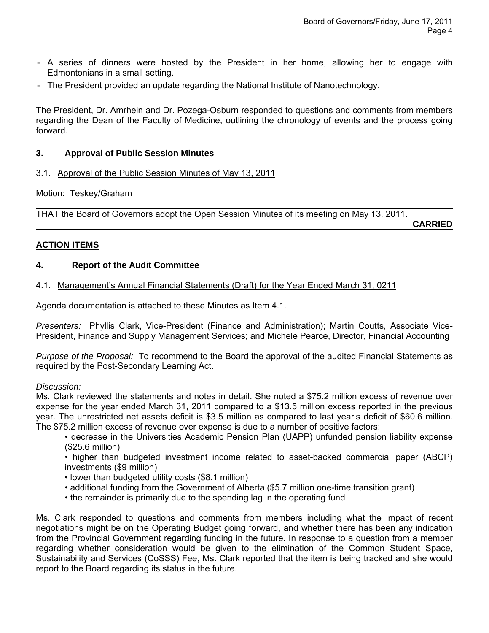- A series of dinners were hosted by the President in her home, allowing her to engage with Edmontonians in a small setting.
- The President provided an update regarding the National Institute of Nanotechnology.

The President, Dr. Amrhein and Dr. Pozega-Osburn responded to questions and comments from members regarding the Dean of the Faculty of Medicine, outlining the chronology of events and the process going forward.

# **3. Approval of Public Session Minutes**

3.1. Approval of the Public Session Minutes of May 13, 2011

Motion: Teskey/Graham

THAT the Board of Governors adopt the Open Session Minutes of its meeting on May 13, 2011.

#### **CARRIED**

# **ACTION ITEMS**

## **4. Report of the Audit Committee**

## 4.1. Management's Annual Financial Statements (Draft) for the Year Ended March 31, 0211

Agenda documentation is attached to these Minutes as Item 4.1.

*Presenters:* Phyllis Clark, Vice-President (Finance and Administration); Martin Coutts, Associate Vice-President, Finance and Supply Management Services; and Michele Pearce, Director, Financial Accounting

*Purpose of the Proposal:* To recommend to the Board the approval of the audited Financial Statements as required by the Post-Secondary Learning Act.

### *Discussion:*

Ms. Clark reviewed the statements and notes in detail. She noted a \$75.2 million excess of revenue over expense for the year ended March 31, 2011 compared to a \$13.5 million excess reported in the previous year. The unrestricted net assets deficit is \$3.5 million as compared to last year's deficit of \$60.6 million. The \$75.2 million excess of revenue over expense is due to a number of positive factors:

- decrease in the Universities Academic Pension Plan (UAPP) unfunded pension liability expense (\$25.6 million)
- higher than budgeted investment income related to asset-backed commercial paper (ABCP) investments (\$9 million)
- lower than budgeted utility costs (\$8.1 million)
- additional funding from the Government of Alberta (\$5.7 million one-time transition grant)
- the remainder is primarily due to the spending lag in the operating fund

Ms. Clark responded to questions and comments from members including what the impact of recent negotiations might be on the Operating Budget going forward, and whether there has been any indication from the Provincial Government regarding funding in the future. In response to a question from a member regarding whether consideration would be given to the elimination of the Common Student Space, Sustainability and Services (CoSSS) Fee, Ms. Clark reported that the item is being tracked and she would report to the Board regarding its status in the future.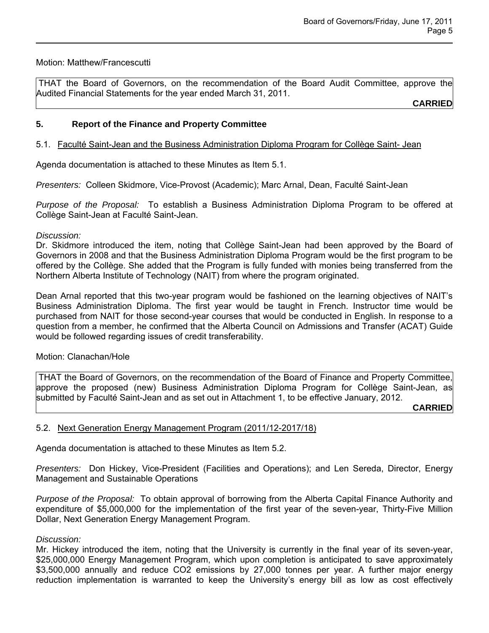## Motion: Matthew/Francescutti

 THAT the Board of Governors, on the recommendation of the Board Audit Committee, approve the Audited Financial Statements for the year ended March 31, 2011.

**CARRIED**

# **5. Report of the Finance and Property Committee**

# 5.1. Faculté Saint-Jean and the Business Administration Diploma Program for Collège Saint- Jean

Agenda documentation is attached to these Minutes as Item 5.1.

*Presenters:* Colleen Skidmore, Vice-Provost (Academic); Marc Arnal, Dean, Faculté Saint-Jean

*Purpose of the Proposal:* To establish a Business Administration Diploma Program to be offered at Collège Saint-Jean at Faculté Saint-Jean.

### *Discussion:*

Dr. Skidmore introduced the item, noting that Collège Saint-Jean had been approved by the Board of Governors in 2008 and that the Business Administration Diploma Program would be the first program to be offered by the Collège. She added that the Program is fully funded with monies being transferred from the Northern Alberta Institute of Technology (NAIT) from where the program originated.

Dean Arnal reported that this two-year program would be fashioned on the learning objectives of NAIT's Business Administration Diploma. The first year would be taught in French. Instructor time would be purchased from NAIT for those second-year courses that would be conducted in English. In response to a question from a member, he confirmed that the Alberta Council on Admissions and Transfer (ACAT) Guide would be followed regarding issues of credit transferability.

### Motion: Clanachan/Hole

 THAT the Board of Governors, on the recommendation of the Board of Finance and Property Committee, approve the proposed (new) Business Administration Diploma Program for Collège Saint-Jean, as submitted by Faculté Saint-Jean and as set out in Attachment 1, to be effective January, 2012.

**CARRIED**

### 5.2. Next Generation Energy Management Program (2011/12-2017/18)

Agenda documentation is attached to these Minutes as Item 5.2.

*Presenters:* Don Hickey, Vice-President (Facilities and Operations); and Len Sereda, Director, Energy Management and Sustainable Operations

*Purpose of the Proposal:* To obtain approval of borrowing from the Alberta Capital Finance Authority and expenditure of \$5,000,000 for the implementation of the first year of the seven-year, Thirty-Five Million Dollar, Next Generation Energy Management Program.

### *Discussion:*

Mr. Hickey introduced the item, noting that the University is currently in the final year of its seven-year, \$25,000,000 Energy Management Program, which upon completion is anticipated to save approximately \$3,500,000 annually and reduce CO2 emissions by 27,000 tonnes per year. A further major energy reduction implementation is warranted to keep the University's energy bill as low as cost effectively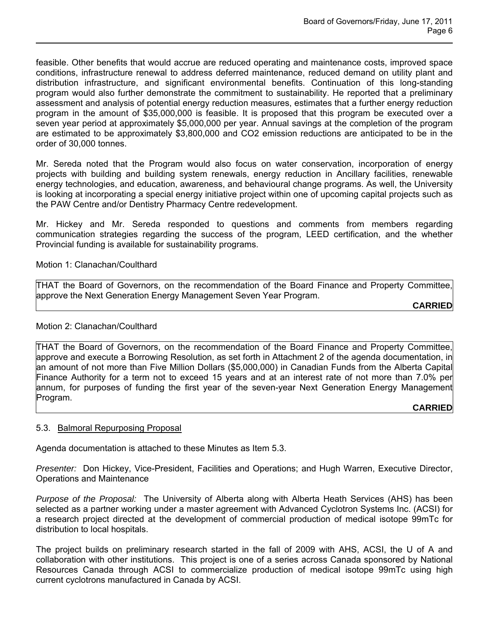feasible. Other benefits that would accrue are reduced operating and maintenance costs, improved space conditions, infrastructure renewal to address deferred maintenance, reduced demand on utility plant and distribution infrastructure, and significant environmental benefits. Continuation of this long-standing program would also further demonstrate the commitment to sustainability. He reported that a preliminary assessment and analysis of potential energy reduction measures, estimates that a further energy reduction program in the amount of \$35,000,000 is feasible. It is proposed that this program be executed over a seven year period at approximately \$5,000,000 per year. Annual savings at the completion of the program are estimated to be approximately \$3,800,000 and CO2 emission reductions are anticipated to be in the order of 30,000 tonnes.

Mr. Sereda noted that the Program would also focus on water conservation, incorporation of energy projects with building and building system renewals, energy reduction in Ancillary facilities, renewable energy technologies, and education, awareness, and behavioural change programs. As well, the University is looking at incorporating a special energy initiative project within one of upcoming capital projects such as the PAW Centre and/or Dentistry Pharmacy Centre redevelopment.

Mr. Hickey and Mr. Sereda responded to questions and comments from members regarding communication strategies regarding the success of the program, LEED certification, and the whether Provincial funding is available for sustainability programs.

## Motion 1: Clanachan/Coulthard

THAT the Board of Governors, on the recommendation of the Board Finance and Property Committee, approve the Next Generation Energy Management Seven Year Program.

**CARRIED**

## Motion 2: Clanachan/Coulthard

THAT the Board of Governors, on the recommendation of the Board Finance and Property Committee, approve and execute a Borrowing Resolution, as set forth in Attachment 2 of the agenda documentation, in an amount of not more than Five Million Dollars (\$5,000,000) in Canadian Funds from the Alberta Capital Finance Authority for a term not to exceed 15 years and at an interest rate of not more than 7.0% per annum, for purposes of funding the first year of the seven-year Next Generation Energy Management Program.

### **CARRIED**

### 5.3. Balmoral Repurposing Proposal

Agenda documentation is attached to these Minutes as Item 5.3.

*Presenter:* Don Hickey, Vice-President, Facilities and Operations; and Hugh Warren, Executive Director, Operations and Maintenance

*Purpose of the Proposal:* The University of Alberta along with Alberta Heath Services (AHS) has been selected as a partner working under a master agreement with Advanced Cyclotron Systems Inc. (ACSI) for a research project directed at the development of commercial production of medical isotope 99mTc for distribution to local hospitals.

The project builds on preliminary research started in the fall of 2009 with AHS, ACSI, the U of A and collaboration with other institutions. This project is one of a series across Canada sponsored by National Resources Canada through ACSI to commercialize production of medical isotope 99mTc using high current cyclotrons manufactured in Canada by ACSI.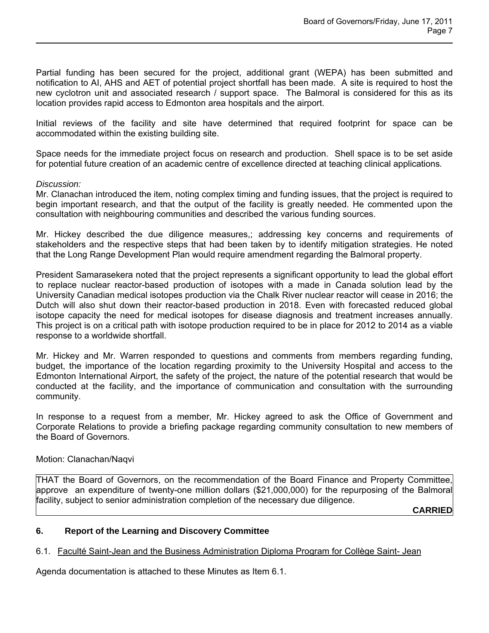Partial funding has been secured for the project, additional grant (WEPA) has been submitted and notification to AI, AHS and AET of potential project shortfall has been made. A site is required to host the new cyclotron unit and associated research / support space. The Balmoral is considered for this as its location provides rapid access to Edmonton area hospitals and the airport.

Initial reviews of the facility and site have determined that required footprint for space can be accommodated within the existing building site.

Space needs for the immediate project focus on research and production. Shell space is to be set aside for potential future creation of an academic centre of excellence directed at teaching clinical applications*.*

## *Discussion:*

Mr. Clanachan introduced the item, noting complex timing and funding issues, that the project is required to begin important research, and that the output of the facility is greatly needed. He commented upon the consultation with neighbouring communities and described the various funding sources.

Mr. Hickey described the due diligence measures,; addressing key concerns and requirements of stakeholders and the respective steps that had been taken by to identify mitigation strategies. He noted that the Long Range Development Plan would require amendment regarding the Balmoral property.

President Samarasekera noted that the project represents a significant opportunity to lead the global effort to replace nuclear reactor-based production of isotopes with a made in Canada solution lead by the University Canadian medical isotopes production via the Chalk River nuclear reactor will cease in 2016; the Dutch will also shut down their reactor-based production in 2018. Even with forecasted reduced global isotope capacity the need for medical isotopes for disease diagnosis and treatment increases annually. This project is on a critical path with isotope production required to be in place for 2012 to 2014 as a viable response to a worldwide shortfall.

Mr. Hickey and Mr. Warren responded to questions and comments from members regarding funding, budget, the importance of the location regarding proximity to the University Hospital and access to the Edmonton International Airport, the safety of the project, the nature of the potential research that would be conducted at the facility, and the importance of communication and consultation with the surrounding community.

In response to a request from a member, Mr. Hickey agreed to ask the Office of Government and Corporate Relations to provide a briefing package regarding community consultation to new members of the Board of Governors.

# Motion: Clanachan/Naqvi

THAT the Board of Governors, on the recommendation of the Board Finance and Property Committee, approve an expenditure of twenty-one million dollars (\$21,000,000) for the repurposing of the Balmoral facility, subject to senior administration completion of the necessary due diligence.

**CARRIED**

# **6. Report of the Learning and Discovery Committee**

# 6.1. Faculté Saint-Jean and the Business Administration Diploma Program for Collège Saint- Jean

Agenda documentation is attached to these Minutes as Item 6.1.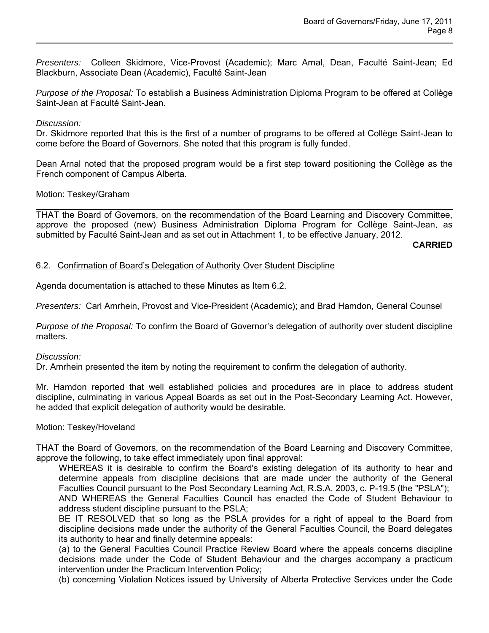*Presenters:* Colleen Skidmore, Vice-Provost (Academic); Marc Arnal, Dean, Faculté Saint-Jean; Ed Blackburn, Associate Dean (Academic), Faculté Saint-Jean

*Purpose of the Proposal:* To establish a Business Administration Diploma Program to be offered at Collège Saint-Jean at Faculté Saint-Jean.

## *Discussion:*

Dr. Skidmore reported that this is the first of a number of programs to be offered at Collège Saint-Jean to come before the Board of Governors. She noted that this program is fully funded.

Dean Arnal noted that the proposed program would be a first step toward positioning the Collège as the French component of Campus Alberta.

## Motion: Teskey/Graham

THAT the Board of Governors, on the recommendation of the Board Learning and Discovery Committee, approve the proposed (new) Business Administration Diploma Program for Collège Saint-Jean, as submitted by Faculté Saint-Jean and as set out in Attachment 1, to be effective January, 2012.

**CARRIED**

## 6.2. Confirmation of Board's Delegation of Authority Over Student Discipline

Agenda documentation is attached to these Minutes as Item 6.2.

*Presenters:* Carl Amrhein, Provost and Vice-President (Academic); and Brad Hamdon, General Counsel

*Purpose of the Proposal:* To confirm the Board of Governor's delegation of authority over student discipline matters.

### *Discussion:*

Dr. Amrhein presented the item by noting the requirement to confirm the delegation of authority.

Mr. Hamdon reported that well established policies and procedures are in place to address student discipline, culminating in various Appeal Boards as set out in the Post-Secondary Learning Act. However, he added that explicit delegation of authority would be desirable.

### Motion: Teskey/Hoveland

THAT the Board of Governors, on the recommendation of the Board Learning and Discovery Committee, approve the following, to take effect immediately upon final approval:

WHEREAS it is desirable to confirm the Board's existing delegation of its authority to hear and determine appeals from discipline decisions that are made under the authority of the General Faculties Council pursuant to the Post Secondary Learning Act, R.S.A. 2003, c. P-19.5 (the "PSLA"); AND WHEREAS the General Faculties Council has enacted the Code of Student Behaviour to address student discipline pursuant to the PSLA;

BE IT RESOLVED that so long as the PSLA provides for a right of appeal to the Board from discipline decisions made under the authority of the General Faculties Council, the Board delegates its authority to hear and finally determine appeals:

(a) to the General Faculties Council Practice Review Board where the appeals concerns discipline decisions made under the Code of Student Behaviour and the charges accompany a practicum intervention under the Practicum Intervention Policy;

(b) concerning Violation Notices issued by University of Alberta Protective Services under the Code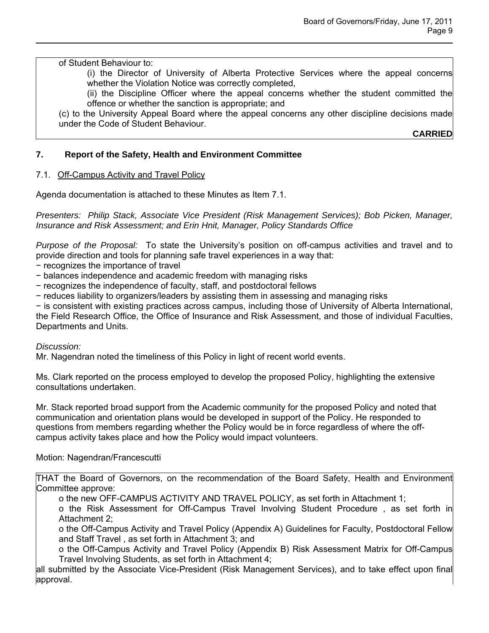of Student Behaviour to:

(i) the Director of University of Alberta Protective Services where the appeal concerns whether the Violation Notice was correctly completed,

(ii) the Discipline Officer where the appeal concerns whether the student committed the offence or whether the sanction is appropriate; and

(c) to the University Appeal Board where the appeal concerns any other discipline decisions made under the Code of Student Behaviour.

**CARRIED**

# **7. Report of the Safety, Health and Environment Committee**

# 7.1. Off-Campus Activity and Travel Policy

Agenda documentation is attached to these Minutes as Item 7.1.

*Presenters: Philip Stack, Associate Vice President (Risk Management Services); Bob Picken, Manager, Insurance and Risk Assessment; and Erin Hnit, Manager, Policy Standards Office*

*Purpose of the Proposal:* To state the University's position on off-campus activities and travel and to provide direction and tools for planning safe travel experiences in a way that:

− recognizes the importance of travel

- − balances independence and academic freedom with managing risks
- − recognizes the independence of faculty, staff, and postdoctoral fellows
- − reduces liability to organizers/leaders by assisting them in assessing and managing risks

− is consistent with existing practices across campus, including those of University of Alberta International, the Field Research Office, the Office of Insurance and Risk Assessment, and those of individual Faculties,

Departments and Units.

### *Discussion:*

Mr. Nagendran noted the timeliness of this Policy in light of recent world events.

Ms. Clark reported on the process employed to develop the proposed Policy, highlighting the extensive consultations undertaken.

Mr. Stack reported broad support from the Academic community for the proposed Policy and noted that communication and orientation plans would be developed in support of the Policy. He responded to questions from members regarding whether the Policy would be in force regardless of where the offcampus activity takes place and how the Policy would impact volunteers.

### Motion: Nagendran/Francescutti

THAT the Board of Governors, on the recommendation of the Board Safety, Health and Environment Committee approve:

o the new OFF-CAMPUS ACTIVITY AND TRAVEL POLICY, as set forth in Attachment 1;

o the Risk Assessment for Off-Campus Travel Involving Student Procedure , as set forth in Attachment 2;

o the Off-Campus Activity and Travel Policy (Appendix A) Guidelines for Faculty, Postdoctoral Fellow and Staff Travel , as set forth in Attachment 3; and

o the Off-Campus Activity and Travel Policy (Appendix B) Risk Assessment Matrix for Off-Campus Travel Involving Students, as set forth in Attachment 4;

all submitted by the Associate Vice-President (Risk Management Services), and to take effect upon final approval.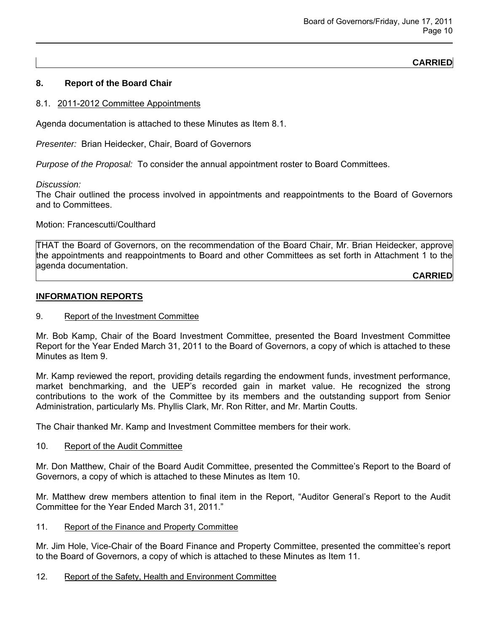# **CARRIED**

# **8. Report of the Board Chair**

#### 8.1. 2011-2012 Committee Appointments

Agenda documentation is attached to these Minutes as Item 8.1.

*Presenter:* Brian Heidecker, Chair, Board of Governors

*Purpose of the Proposal:* To consider the annual appointment roster to Board Committees.

*Discussion:* 

The Chair outlined the process involved in appointments and reappointments to the Board of Governors and to Committees.

Motion: Francescutti/Coulthard

THAT the Board of Governors, on the recommendation of the Board Chair, Mr. Brian Heidecker, approve the appointments and reappointments to Board and other Committees as set forth in Attachment 1 to the agenda documentation.

**CARRIED**

#### **INFORMATION REPORTS**

#### 9. Report of the Investment Committee

Mr. Bob Kamp, Chair of the Board Investment Committee, presented the Board Investment Committee Report for the Year Ended March 31, 2011 to the Board of Governors, a copy of which is attached to these Minutes as Item 9.

Mr. Kamp reviewed the report, providing details regarding the endowment funds, investment performance, market benchmarking, and the UEP's recorded gain in market value. He recognized the strong contributions to the work of the Committee by its members and the outstanding support from Senior Administration, particularly Ms. Phyllis Clark, Mr. Ron Ritter, and Mr. Martin Coutts.

The Chair thanked Mr. Kamp and Investment Committee members for their work.

#### 10. Report of the Audit Committee

Mr. Don Matthew, Chair of the Board Audit Committee, presented the Committee's Report to the Board of Governors, a copy of which is attached to these Minutes as Item 10.

Mr. Matthew drew members attention to final item in the Report, "Auditor General's Report to the Audit Committee for the Year Ended March 31, 2011."

### 11. Report of the Finance and Property Committee

Mr. Jim Hole, Vice-Chair of the Board Finance and Property Committee, presented the committee's report to the Board of Governors, a copy of which is attached to these Minutes as Item 11.

### 12. Report of the Safety, Health and Environment Committee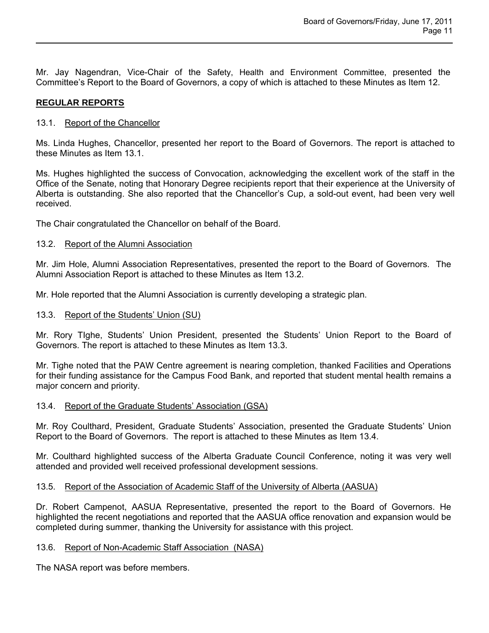Mr. Jay Nagendran, Vice-Chair of the Safety, Health and Environment Committee, presented the Committee's Report to the Board of Governors, a copy of which is attached to these Minutes as Item 12.

# **REGULAR REPORTS**

# 13.1. Report of the Chancellor

Ms. Linda Hughes, Chancellor, presented her report to the Board of Governors. The report is attached to these Minutes as Item 13.1.

Ms. Hughes highlighted the success of Convocation, acknowledging the excellent work of the staff in the Office of the Senate, noting that Honorary Degree recipients report that their experience at the University of Alberta is outstanding. She also reported that the Chancellor's Cup, a sold-out event, had been very well received.

The Chair congratulated the Chancellor on behalf of the Board.

## 13.2. Report of the Alumni Association

Mr. Jim Hole, Alumni Association Representatives, presented the report to the Board of Governors. The Alumni Association Report is attached to these Minutes as Item 13.2.

Mr. Hole reported that the Alumni Association is currently developing a strategic plan.

## 13.3. Report of the Students' Union (SU)

Mr. Rory TIghe, Students' Union President, presented the Students' Union Report to the Board of Governors. The report is attached to these Minutes as Item 13.3.

Mr. Tighe noted that the PAW Centre agreement is nearing completion, thanked Facilities and Operations for their funding assistance for the Campus Food Bank, and reported that student mental health remains a major concern and priority.

## 13.4. Report of the Graduate Students' Association (GSA)

Mr. Roy Coulthard, President, Graduate Students' Association, presented the Graduate Students' Union Report to the Board of Governors. The report is attached to these Minutes as Item 13.4.

Mr. Coulthard highlighted success of the Alberta Graduate Council Conference, noting it was very well attended and provided well received professional development sessions.

### 13.5. Report of the Association of Academic Staff of the University of Alberta (AASUA)

Dr. Robert Campenot, AASUA Representative, presented the report to the Board of Governors. He highlighted the recent negotiations and reported that the AASUA office renovation and expansion would be completed during summer, thanking the University for assistance with this project.

### 13.6. Report of Non-Academic Staff Association (NASA)

The NASA report was before members.